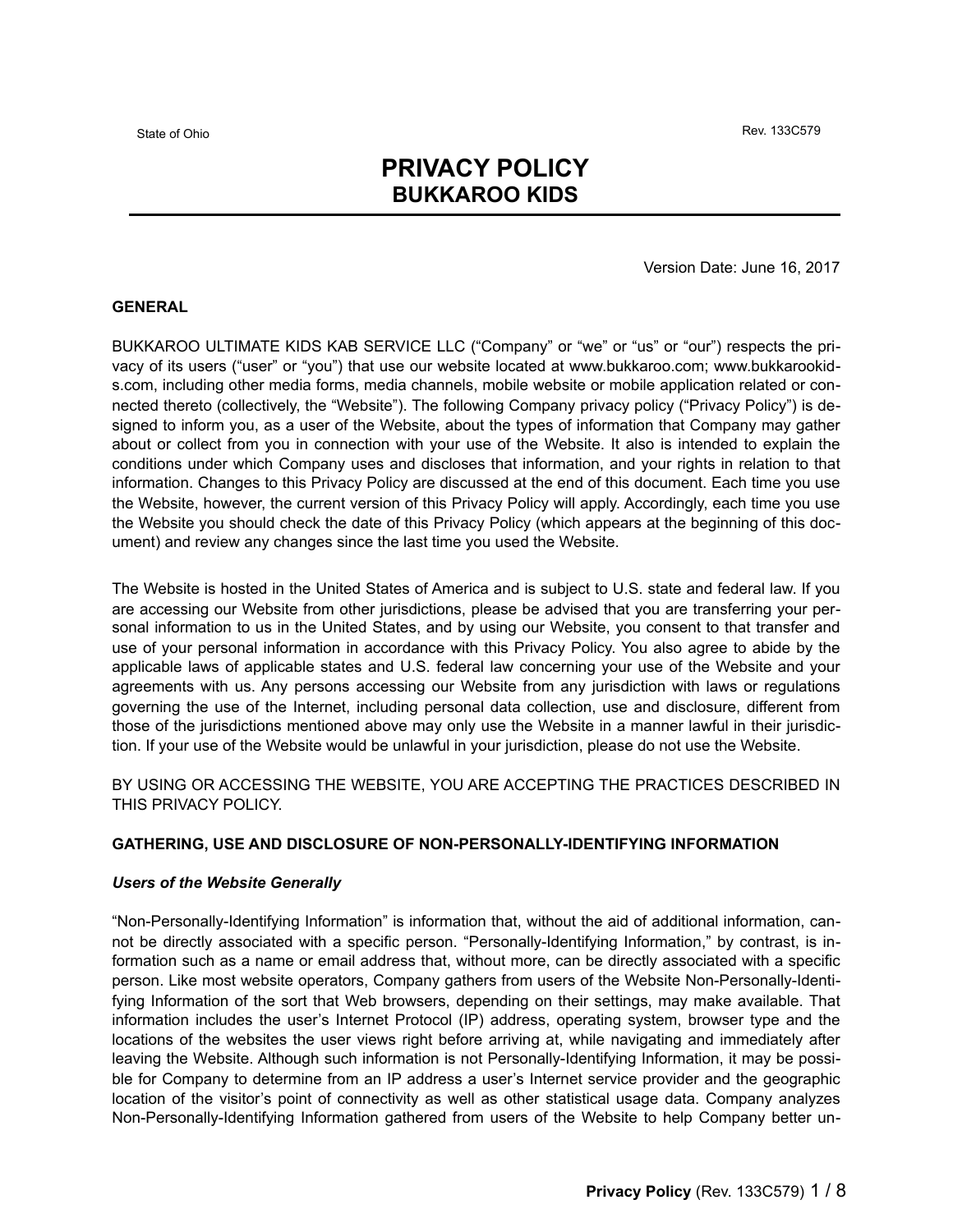# **PRIVACY POLICY BUKKAROO KIDS**

Version Date: June 16, 2017

# **GENERAL**

BUKKAROO ULTIMATE KIDS KAB SERVICE LLC ("Company" or "we" or "us" or "our") respects the privacy of its users ("user" or "you") that use our website located at www.bukkaroo.com; www.bukkarookids.com, including other media forms, media channels, mobile website or mobile application related or connected thereto (collectively, the "Website"). The following Company privacy policy ("Privacy Policy") is designed to inform you, as a user of the Website, about the types of information that Company may gather about or collect from you in connection with your use of the Website. It also is intended to explain the conditions under which Company uses and discloses that information, and your rights in relation to that information. Changes to this Privacy Policy are discussed at the end of this document. Each time you use the Website, however, the current version of this Privacy Policy will apply. Accordingly, each time you use the Website you should check the date of this Privacy Policy (which appears at the beginning of this document) and review any changes since the last time you used the Website.

The Website is hosted in the United States of America and is subject to U.S. state and federal law. If you are accessing our Website from other jurisdictions, please be advised that you are transferring your personal information to us in the United States, and by using our Website, you consent to that transfer and use of your personal information in accordance with this Privacy Policy. You also agree to abide by the applicable laws of applicable states and U.S. federal law concerning your use of the Website and your agreements with us. Any persons accessing our Website from any jurisdiction with laws or regulations governing the use of the Internet, including personal data collection, use and disclosure, different from those of the jurisdictions mentioned above may only use the Website in a manner lawful in their jurisdiction. If your use of the Website would be unlawful in your jurisdiction, please do not use the Website.

BY USING OR ACCESSING THE WEBSITE, YOU ARE ACCEPTING THE PRACTICES DESCRIBED IN THIS PRIVACY POLICY.

## **GATHERING, USE AND DISCLOSURE OF NON-PERSONALLY-IDENTIFYING INFORMATION**

## *Users of the Website Generally*

"Non-Personally-Identifying Information" is information that, without the aid of additional information, cannot be directly associated with a specific person. "Personally-Identifying Information," by contrast, is information such as a name or email address that, without more, can be directly associated with a specific person. Like most website operators, Company gathers from users of the Website Non-Personally-Identifying Information of the sort that Web browsers, depending on their settings, may make available. That information includes the user's Internet Protocol (IP) address, operating system, browser type and the locations of the websites the user views right before arriving at, while navigating and immediately after leaving the Website. Although such information is not Personally-Identifying Information, it may be possible for Company to determine from an IP address a user's Internet service provider and the geographic location of the visitor's point of connectivity as well as other statistical usage data. Company analyzes Non-Personally-Identifying Information gathered from users of the Website to help Company better un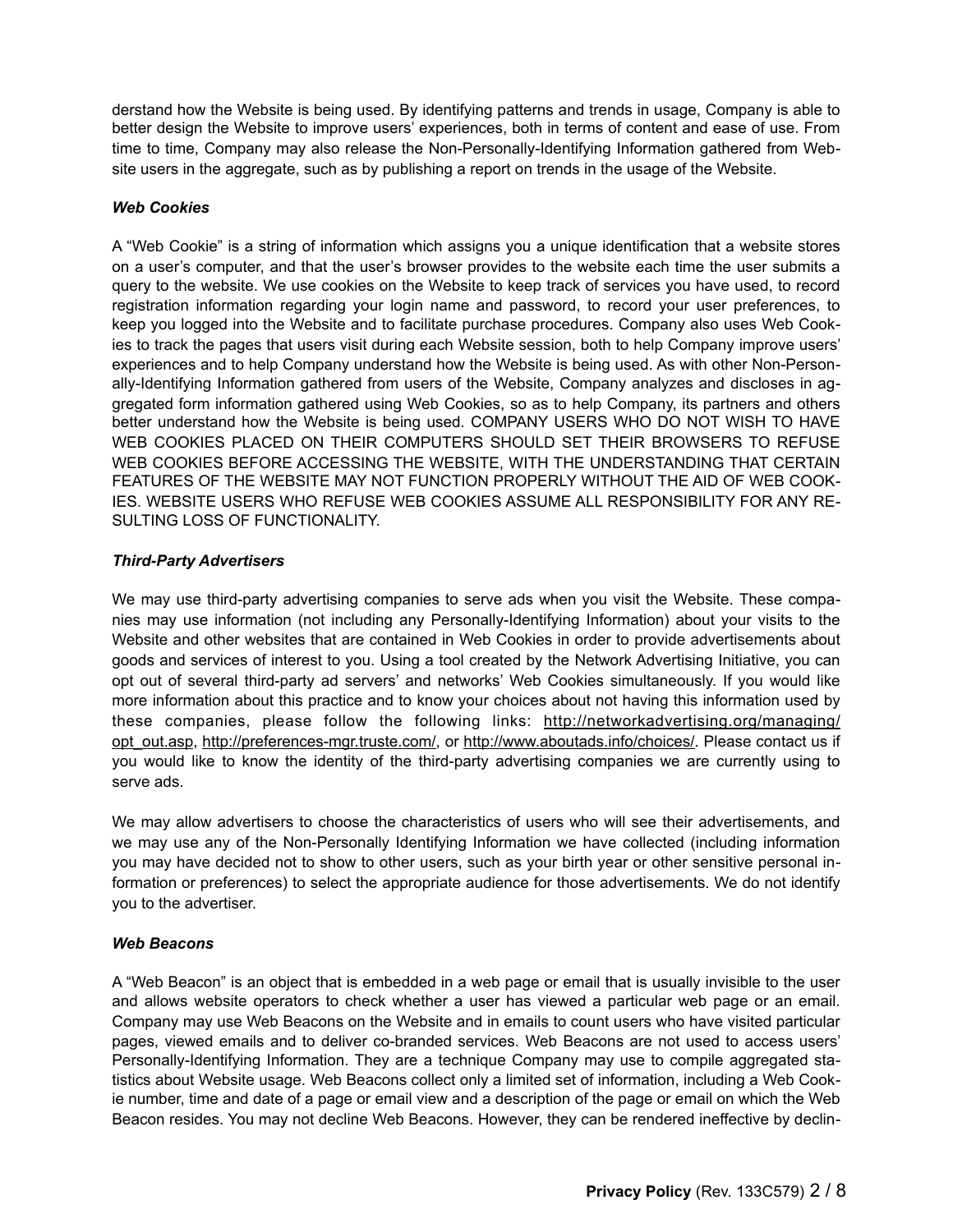derstand how the Website is being used. By identifying patterns and trends in usage, Company is able to better design the Website to improve users' experiences, both in terms of content and ease of use. From time to time, Company may also release the Non-Personally-Identifying Information gathered from Website users in the aggregate, such as by publishing a report on trends in the usage of the Website.

# *Web Cookies*

A "Web Cookie" is a string of information which assigns you a unique identification that a website stores on a user's computer, and that the user's browser provides to the website each time the user submits a query to the website. We use cookies on the Website to keep track of services you have used, to record registration information regarding your login name and password, to record your user preferences, to keep you logged into the Website and to facilitate purchase procedures. Company also uses Web Cookies to track the pages that users visit during each Website session, both to help Company improve users' experiences and to help Company understand how the Website is being used. As with other Non-Personally-Identifying Information gathered from users of the Website, Company analyzes and discloses in aggregated form information gathered using Web Cookies, so as to help Company, its partners and others better understand how the Website is being used. COMPANY USERS WHO DO NOT WISH TO HAVE WEB COOKIES PLACED ON THEIR COMPUTERS SHOULD SET THEIR BROWSERS TO REFUSE WEB COOKIES BEFORE ACCESSING THE WEBSITE, WITH THE UNDERSTANDING THAT CERTAIN FEATURES OF THE WEBSITE MAY NOT FUNCTION PROPERLY WITHOUT THE AID OF WEB COOK-IES. WEBSITE USERS WHO REFUSE WEB COOKIES ASSUME ALL RESPONSIBILITY FOR ANY RE-SULTING LOSS OF FUNCTIONALITY.

# *Third-Party Advertisers*

We may use third-party advertising companies to serve ads when you visit the Website. These companies may use information (not including any Personally-Identifying Information) about your visits to the Website and other websites that are contained in Web Cookies in order to provide advertisements about goods and services of interest to you. Using a tool created by the Network Advertising Initiative, you can opt out of several third-party ad servers' and networks' Web Cookies simultaneously. If you would like more information about this practice and to know your choices about not having this information used by these companies, please follow the following links: http://networkadvertising.org/managing/ [opt\\_out.asp, http://preferences-mgr.truste.com/, or http://www.aboutads.info/choices/. Please contact us if](http://networkadvertising.org/managing/opt_out.asp) you would like to know the identity of the third-party advertising companies we are currently using to serve ads.

We may allow advertisers to choose the characteristics of users who will see their advertisements, and we may use any of the Non-Personally Identifying Information we have collected (including information you may have decided not to show to other users, such as your birth year or other sensitive personal information or preferences) to select the appropriate audience for those advertisements. We do not identify you to the advertiser.

## *Web Beacons*

A "Web Beacon" is an object that is embedded in a web page or email that is usually invisible to the user and allows website operators to check whether a user has viewed a particular web page or an email. Company may use Web Beacons on the Website and in emails to count users who have visited particular pages, viewed emails and to deliver co-branded services. Web Beacons are not used to access users' Personally-Identifying Information. They are a technique Company may use to compile aggregated statistics about Website usage. Web Beacons collect only a limited set of information, including a Web Cookie number, time and date of a page or email view and a description of the page or email on which the Web Beacon resides. You may not decline Web Beacons. However, they can be rendered ineffective by declin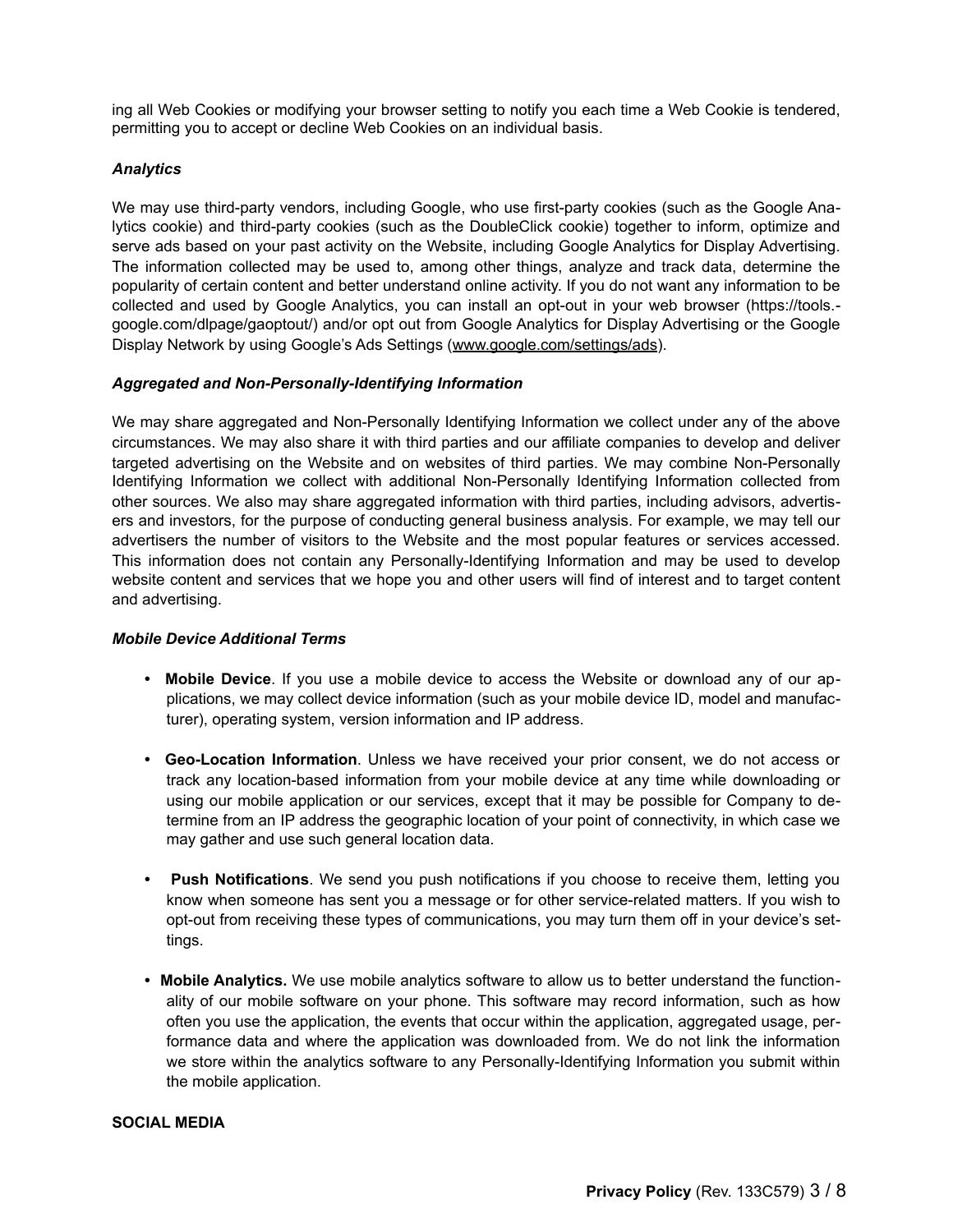ing all Web Cookies or modifying your browser setting to notify you each time a Web Cookie is tendered, permitting you to accept or decline Web Cookies on an individual basis.

# *Analytics*

We may use third-party vendors, including Google, who use first-party cookies (such as the Google Analytics cookie) and third-party cookies (such as the DoubleClick cookie) together to inform, optimize and serve ads based on your past activity on the Website, including Google Analytics for Display Advertising. The information collected may be used to, among other things, analyze and track data, determine the popularity of certain content and better understand online activity. If you do not want any information to be collected and used by Google Analytics, you can install an opt-out in your web browser (https://tools. google.com/dlpage/gaoptout/) and/or opt out from Google Analytics for Display Advertising or the Google Display Network by using Google's Ads Settings ([www.google.com/settings/ads\)](http://www.google.com/settings/ads).

# *Aggregated and Non-Personally-Identifying Information*

We may share aggregated and Non-Personally Identifying Information we collect under any of the above circumstances. We may also share it with third parties and our affiliate companies to develop and deliver targeted advertising on the Website and on websites of third parties. We may combine Non-Personally Identifying Information we collect with additional Non-Personally Identifying Information collected from other sources. We also may share aggregated information with third parties, including advisors, advertisers and investors, for the purpose of conducting general business analysis. For example, we may tell our advertisers the number of visitors to the Website and the most popular features or services accessed. This information does not contain any Personally-Identifying Information and may be used to develop website content and services that we hope you and other users will find of interest and to target content and advertising.

# *Mobile Device Additional Terms*

- **Mobile Device**. If you use a mobile device to access the Website or download any of our applications, we may collect device information (such as your mobile device ID, model and manufacturer), operating system, version information and IP address.
- **Geo-Location Information**. Unless we have received your prior consent, we do not access or track any location-based information from your mobile device at any time while downloading or using our mobile application or our services, except that it may be possible for Company to determine from an IP address the geographic location of your point of connectivity, in which case we may gather and use such general location data.
- **Push Notifications**. We send you push notifications if you choose to receive them, letting you know when someone has sent you a message or for other service-related matters. If you wish to opt-out from receiving these types of communications, you may turn them off in your device's settings.
- **Mobile Analytics.** We use mobile analytics software to allow us to better understand the functionality of our mobile software on your phone. This software may record information, such as how often you use the application, the events that occur within the application, aggregated usage, performance data and where the application was downloaded from. We do not link the information we store within the analytics software to any Personally-Identifying Information you submit within the mobile application.

## **SOCIAL MEDIA**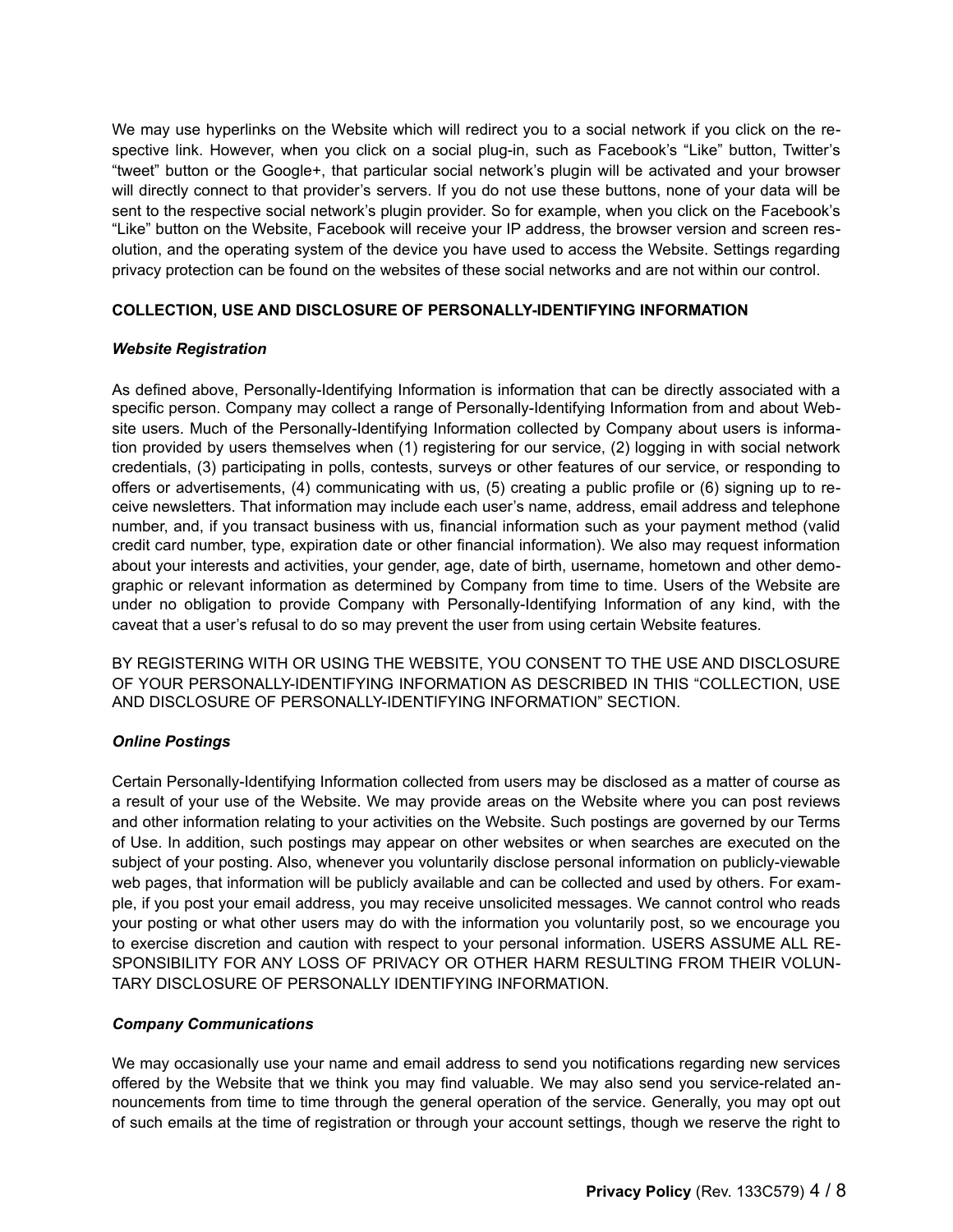We may use hyperlinks on the Website which will redirect you to a social network if you click on the respective link. However, when you click on a social plug-in, such as Facebook's "Like" button, Twitter's "tweet" button or the Google+, that particular social network's plugin will be activated and your browser will directly connect to that provider's servers. If you do not use these buttons, none of your data will be sent to the respective social network's plugin provider. So for example, when you click on the Facebook's "Like" button on the Website, Facebook will receive your IP address, the browser version and screen resolution, and the operating system of the device you have used to access the Website. Settings regarding privacy protection can be found on the websites of these social networks and are not within our control.

# **COLLECTION, USE AND DISCLOSURE OF PERSONALLY-IDENTIFYING INFORMATION**

# *Website Registration*

As defined above, Personally-Identifying Information is information that can be directly associated with a specific person. Company may collect a range of Personally-Identifying Information from and about Website users. Much of the Personally-Identifying Information collected by Company about users is information provided by users themselves when (1) registering for our service, (2) logging in with social network credentials, (3) participating in polls, contests, surveys or other features of our service, or responding to offers or advertisements, (4) communicating with us, (5) creating a public profile or (6) signing up to receive newsletters. That information may include each user's name, address, email address and telephone number, and, if you transact business with us, financial information such as your payment method (valid credit card number, type, expiration date or other financial information). We also may request information about your interests and activities, your gender, age, date of birth, username, hometown and other demographic or relevant information as determined by Company from time to time. Users of the Website are under no obligation to provide Company with Personally-Identifying Information of any kind, with the caveat that a user's refusal to do so may prevent the user from using certain Website features.

BY REGISTERING WITH OR USING THE WEBSITE, YOU CONSENT TO THE USE AND DISCLOSURE OF YOUR PERSONALLY-IDENTIFYING INFORMATION AS DESCRIBED IN THIS "COLLECTION, USE AND DISCLOSURE OF PERSONALLY-IDENTIFYING INFORMATION" SECTION.

# *Online Postings*

Certain Personally-Identifying Information collected from users may be disclosed as a matter of course as a result of your use of the Website. We may provide areas on the Website where you can post reviews and other information relating to your activities on the Website. Such postings are governed by our Terms of Use. In addition, such postings may appear on other websites or when searches are executed on the subject of your posting. Also, whenever you voluntarily disclose personal information on publicly-viewable web pages, that information will be publicly available and can be collected and used by others. For example, if you post your email address, you may receive unsolicited messages. We cannot control who reads your posting or what other users may do with the information you voluntarily post, so we encourage you to exercise discretion and caution with respect to your personal information. USERS ASSUME ALL RE-SPONSIBILITY FOR ANY LOSS OF PRIVACY OR OTHER HARM RESULTING FROM THEIR VOLUN-TARY DISCLOSURE OF PERSONALLY IDENTIFYING INFORMATION.

# *Company Communications*

We may occasionally use your name and email address to send you notifications regarding new services offered by the Website that we think you may find valuable. We may also send you service-related announcements from time to time through the general operation of the service. Generally, you may opt out of such emails at the time of registration or through your account settings, though we reserve the right to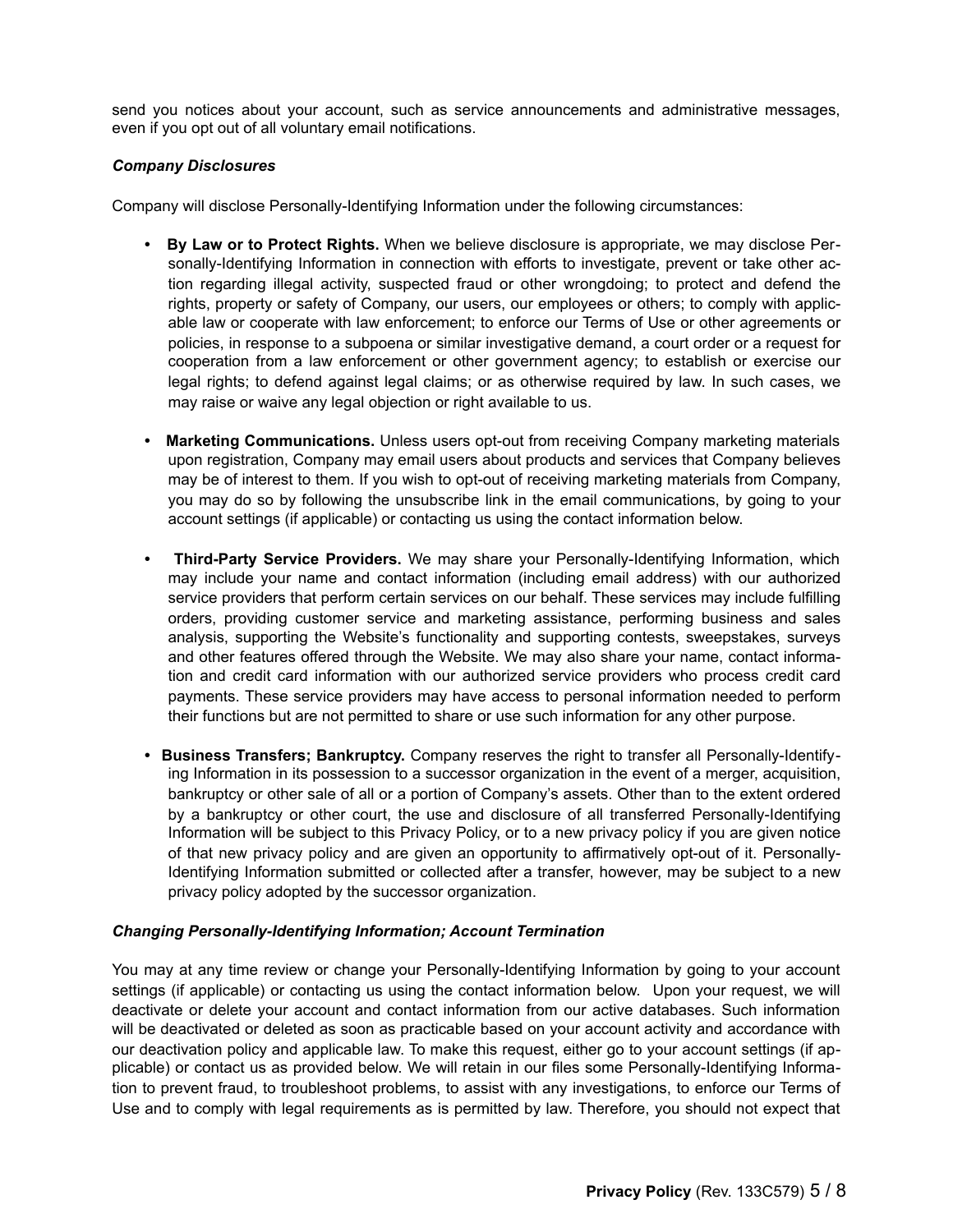send you notices about your account, such as service announcements and administrative messages, even if you opt out of all voluntary email notifications.

# *Company Disclosures*

Company will disclose Personally-Identifying Information under the following circumstances:

- **By Law or to Protect Rights.** When we believe disclosure is appropriate, we may disclose Personally-Identifying Information in connection with efforts to investigate, prevent or take other action regarding illegal activity, suspected fraud or other wrongdoing; to protect and defend the rights, property or safety of Company, our users, our employees or others; to comply with applicable law or cooperate with law enforcement; to enforce our Terms of Use or other agreements or policies, in response to a subpoena or similar investigative demand, a court order or a request for cooperation from a law enforcement or other government agency; to establish or exercise our legal rights; to defend against legal claims; or as otherwise required by law. In such cases, we may raise or waive any legal objection or right available to us.
- **Marketing Communications.** Unless users opt-out from receiving Company marketing materials upon registration, Company may email users about products and services that Company believes may be of interest to them. If you wish to opt-out of receiving marketing materials from Company, you may do so by following the unsubscribe link in the email communications, by going to your account settings (if applicable) or contacting us using the contact information below.
- **Third-Party Service Providers.** We may share your Personally-Identifying Information, which may include your name and contact information (including email address) with our authorized service providers that perform certain services on our behalf. These services may include fulfilling orders, providing customer service and marketing assistance, performing business and sales analysis, supporting the Website's functionality and supporting contests, sweepstakes, surveys and other features offered through the Website. We may also share your name, contact information and credit card information with our authorized service providers who process credit card payments. These service providers may have access to personal information needed to perform their functions but are not permitted to share or use such information for any other purpose.
- **Business Transfers; Bankruptcy.** Company reserves the right to transfer all Personally-Identifying Information in its possession to a successor organization in the event of a merger, acquisition, bankruptcy or other sale of all or a portion of Company's assets. Other than to the extent ordered by a bankruptcy or other court, the use and disclosure of all transferred Personally-Identifying Information will be subject to this Privacy Policy, or to a new privacy policy if you are given notice of that new privacy policy and are given an opportunity to affirmatively opt-out of it. Personally-Identifying Information submitted or collected after a transfer, however, may be subject to a new privacy policy adopted by the successor organization.

## *Changing Personally-Identifying Information; Account Termination*

You may at any time review or change your Personally-Identifying Information by going to your account settings (if applicable) or contacting us using the contact information below. Upon your request, we will deactivate or delete your account and contact information from our active databases. Such information will be deactivated or deleted as soon as practicable based on your account activity and accordance with our deactivation policy and applicable law. To make this request, either go to your account settings (if applicable) or contact us as provided below. We will retain in our files some Personally-Identifying Information to prevent fraud, to troubleshoot problems, to assist with any investigations, to enforce our Terms of Use and to comply with legal requirements as is permitted by law. Therefore, you should not expect that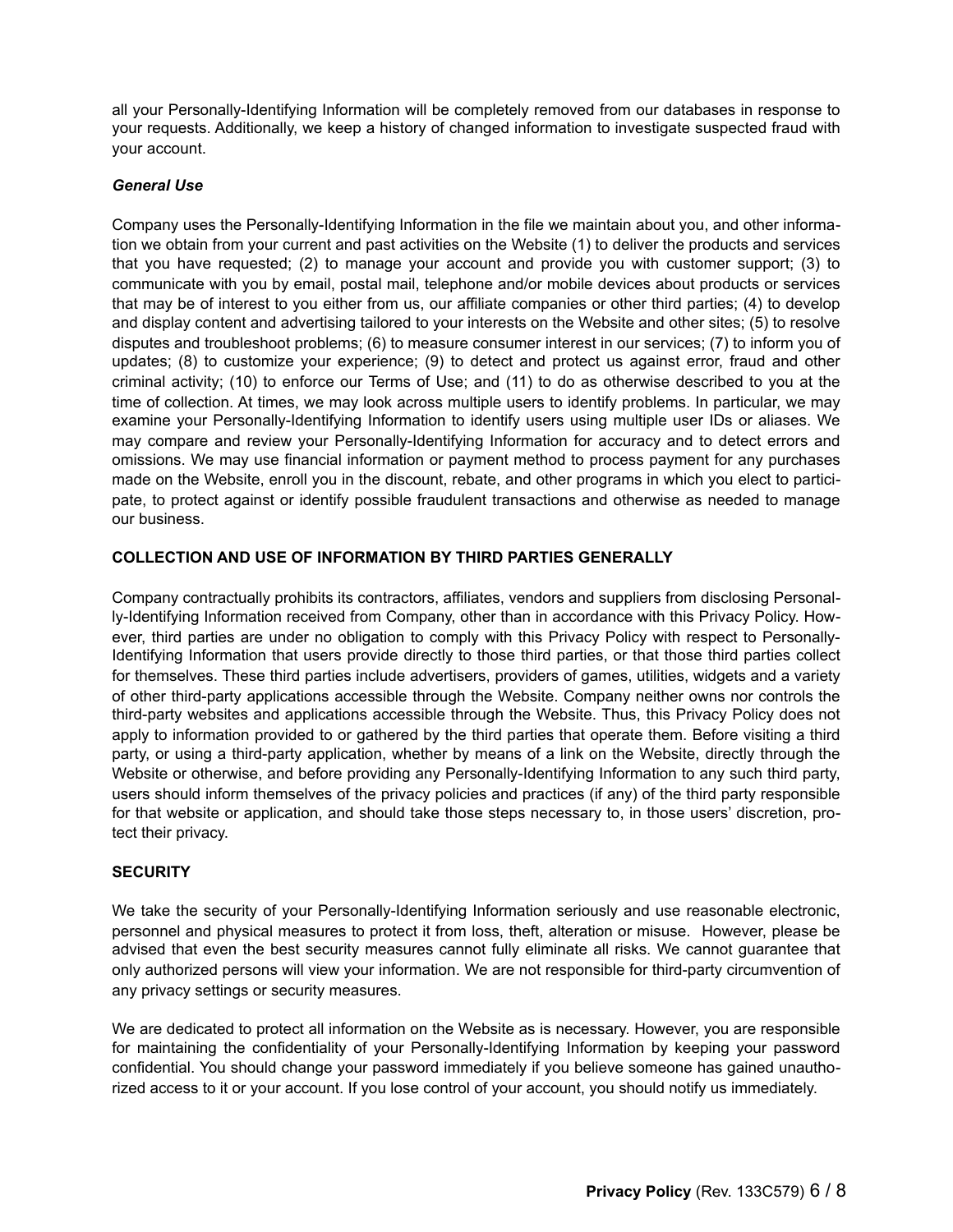all your Personally-Identifying Information will be completely removed from our databases in response to your requests. Additionally, we keep a history of changed information to investigate suspected fraud with your account.

# *General Use*

Company uses the Personally-Identifying Information in the file we maintain about you, and other information we obtain from your current and past activities on the Website (1) to deliver the products and services that you have requested; (2) to manage your account and provide you with customer support; (3) to communicate with you by email, postal mail, telephone and/or mobile devices about products or services that may be of interest to you either from us, our affiliate companies or other third parties; (4) to develop and display content and advertising tailored to your interests on the Website and other sites; (5) to resolve disputes and troubleshoot problems; (6) to measure consumer interest in our services; (7) to inform you of updates; (8) to customize your experience; (9) to detect and protect us against error, fraud and other criminal activity; (10) to enforce our Terms of Use; and (11) to do as otherwise described to you at the time of collection. At times, we may look across multiple users to identify problems. In particular, we may examine your Personally-Identifying Information to identify users using multiple user IDs or aliases. We may compare and review your Personally-Identifying Information for accuracy and to detect errors and omissions. We may use financial information or payment method to process payment for any purchases made on the Website, enroll you in the discount, rebate, and other programs in which you elect to participate, to protect against or identify possible fraudulent transactions and otherwise as needed to manage our business.

# **COLLECTION AND USE OF INFORMATION BY THIRD PARTIES GENERALLY**

Company contractually prohibits its contractors, affiliates, vendors and suppliers from disclosing Personally-Identifying Information received from Company, other than in accordance with this Privacy Policy. However, third parties are under no obligation to comply with this Privacy Policy with respect to Personally-Identifying Information that users provide directly to those third parties, or that those third parties collect for themselves. These third parties include advertisers, providers of games, utilities, widgets and a variety of other third-party applications accessible through the Website. Company neither owns nor controls the third-party websites and applications accessible through the Website. Thus, this Privacy Policy does not apply to information provided to or gathered by the third parties that operate them. Before visiting a third party, or using a third-party application, whether by means of a link on the Website, directly through the Website or otherwise, and before providing any Personally-Identifying Information to any such third party, users should inform themselves of the privacy policies and practices (if any) of the third party responsible for that website or application, and should take those steps necessary to, in those users' discretion, protect their privacy.

## **SECURITY**

We take the security of your Personally-Identifying Information seriously and use reasonable electronic, personnel and physical measures to protect it from loss, theft, alteration or misuse. However, please be advised that even the best security measures cannot fully eliminate all risks. We cannot guarantee that only authorized persons will view your information. We are not responsible for third-party circumvention of any privacy settings or security measures.

We are dedicated to protect all information on the Website as is necessary. However, you are responsible for maintaining the confidentiality of your Personally-Identifying Information by keeping your password confidential. You should change your password immediately if you believe someone has gained unauthorized access to it or your account. If you lose control of your account, you should notify us immediately.